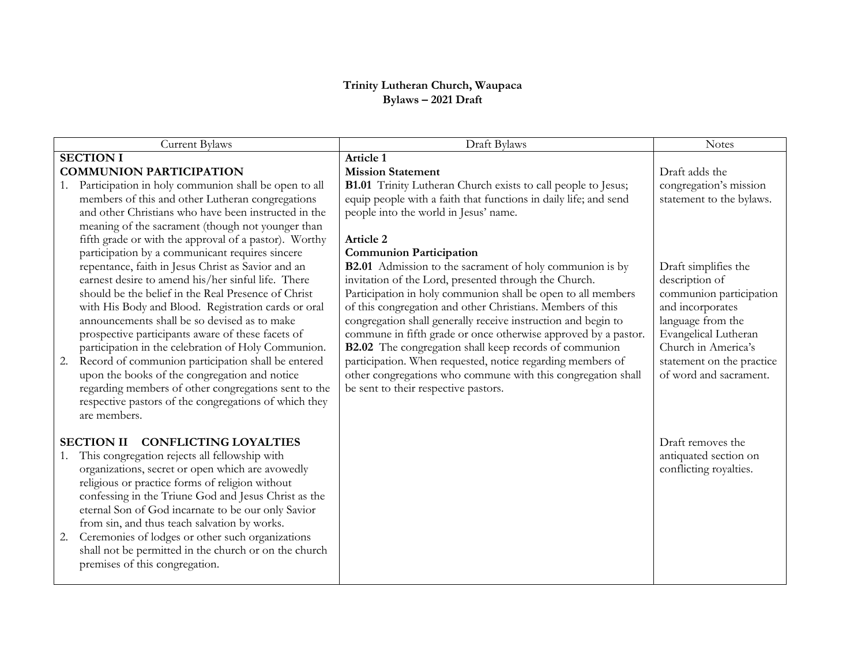## **Trinity Lutheran Church, Waupaca Bylaws – 2021 Draft**

| Current Bylaws                                           | Draft Bylaws                                                         | <b>Notes</b>              |
|----------------------------------------------------------|----------------------------------------------------------------------|---------------------------|
| <b>SECTION I</b>                                         | Article 1                                                            |                           |
| <b>COMMUNION PARTICIPATION</b>                           | <b>Mission Statement</b>                                             | Draft adds the            |
| Participation in holy communion shall be open to all     | <b>B1.01</b> Trinity Lutheran Church exists to call people to Jesus; | congregation's mission    |
| members of this and other Lutheran congregations         | equip people with a faith that functions in daily life; and send     | statement to the bylaws.  |
| and other Christians who have been instructed in the     | people into the world in Jesus' name.                                |                           |
| meaning of the sacrament (though not younger than        |                                                                      |                           |
| fifth grade or with the approval of a pastor). Worthy    | Article 2                                                            |                           |
| participation by a communicant requires sincere          | <b>Communion Participation</b>                                       |                           |
| repentance, faith in Jesus Christ as Savior and an       | <b>B2.01</b> Admission to the sacrament of holy communion is by      | Draft simplifies the      |
| earnest desire to amend his/her sinful life. There       | invitation of the Lord, presented through the Church.                | description of            |
| should be the belief in the Real Presence of Christ      | Participation in holy communion shall be open to all members         | communion participation   |
| with His Body and Blood. Registration cards or oral      | of this congregation and other Christians. Members of this           | and incorporates          |
| announcements shall be so devised as to make             | congregation shall generally receive instruction and begin to        | language from the         |
| prospective participants aware of these facets of        | commune in fifth grade or once otherwise approved by a pastor.       | Evangelical Lutheran      |
| participation in the celebration of Holy Communion.      | B2.02 The congregation shall keep records of communion               | Church in America's       |
| Record of communion participation shall be entered<br>2. | participation. When requested, notice regarding members of           | statement on the practice |
| upon the books of the congregation and notice            | other congregations who commune with this congregation shall         | of word and sacrament.    |
| regarding members of other congregations sent to the     | be sent to their respective pastors.                                 |                           |
| respective pastors of the congregations of which they    |                                                                      |                           |
| are members.                                             |                                                                      |                           |
|                                                          |                                                                      |                           |
| SECTION II CONFLICTING LOYALTIES                         |                                                                      | Draft removes the         |
| This congregation rejects all fellowship with<br>1.      |                                                                      | antiquated section on     |
| organizations, secret or open which are avowedly         |                                                                      | conflicting royalties.    |
| religious or practice forms of religion without          |                                                                      |                           |
| confessing in the Triune God and Jesus Christ as the     |                                                                      |                           |
| eternal Son of God incarnate to be our only Savior       |                                                                      |                           |
| from sin, and thus teach salvation by works.             |                                                                      |                           |
| Ceremonies of lodges or other such organizations<br>2.   |                                                                      |                           |
| shall not be permitted in the church or on the church    |                                                                      |                           |
| premises of this congregation.                           |                                                                      |                           |
|                                                          |                                                                      |                           |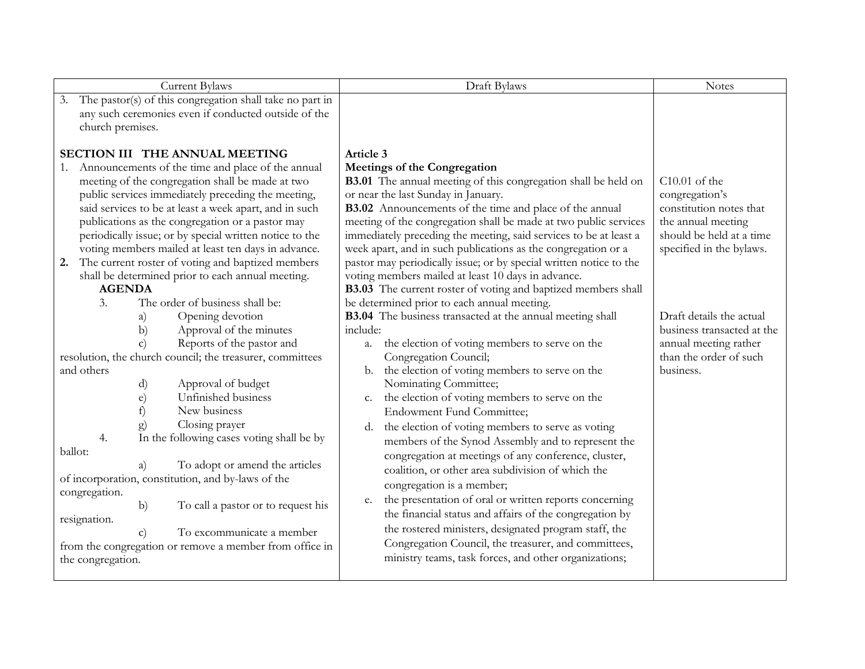| Current Bylaws                                                                                                                                                                                                                                                                                                                                                                                                                                                                                                                                                                                                                                                                                                                                                                                                                                                                                                                                                                                                                                                                    | Draft Bylaws                                                                                                                                                                                                                                                                                                                                                                                                                                                                                                                                                                                                                                                                                                                                                                                                                                                                                                                                                                                                                                                                                                                                                                                                                                                                        | <b>Notes</b>                                                                                                                                                                                                                                                         |
|-----------------------------------------------------------------------------------------------------------------------------------------------------------------------------------------------------------------------------------------------------------------------------------------------------------------------------------------------------------------------------------------------------------------------------------------------------------------------------------------------------------------------------------------------------------------------------------------------------------------------------------------------------------------------------------------------------------------------------------------------------------------------------------------------------------------------------------------------------------------------------------------------------------------------------------------------------------------------------------------------------------------------------------------------------------------------------------|-------------------------------------------------------------------------------------------------------------------------------------------------------------------------------------------------------------------------------------------------------------------------------------------------------------------------------------------------------------------------------------------------------------------------------------------------------------------------------------------------------------------------------------------------------------------------------------------------------------------------------------------------------------------------------------------------------------------------------------------------------------------------------------------------------------------------------------------------------------------------------------------------------------------------------------------------------------------------------------------------------------------------------------------------------------------------------------------------------------------------------------------------------------------------------------------------------------------------------------------------------------------------------------|----------------------------------------------------------------------------------------------------------------------------------------------------------------------------------------------------------------------------------------------------------------------|
| The pastor(s) of this congregation shall take no part in<br>3.<br>any such ceremonies even if conducted outside of the<br>church premises.                                                                                                                                                                                                                                                                                                                                                                                                                                                                                                                                                                                                                                                                                                                                                                                                                                                                                                                                        |                                                                                                                                                                                                                                                                                                                                                                                                                                                                                                                                                                                                                                                                                                                                                                                                                                                                                                                                                                                                                                                                                                                                                                                                                                                                                     |                                                                                                                                                                                                                                                                      |
| SECTION III THE ANNUAL MEETING<br>1. Announcements of the time and place of the annual<br>meeting of the congregation shall be made at two<br>public services immediately preceding the meeting,<br>said services to be at least a week apart, and in such<br>publications as the congregation or a pastor may<br>periodically issue; or by special written notice to the<br>voting members mailed at least ten days in advance.<br>The current roster of voting and baptized members<br>2.<br>shall be determined prior to each annual meeting.<br><b>AGENDA</b><br>The order of business shall be:<br>3.<br>Opening devotion<br>a)<br>Approval of the minutes<br>b)<br>Reports of the pastor and<br>$\mathbf{C}$<br>resolution, the church council; the treasurer, committees<br>and others<br>Approval of budget<br>d)<br>Unfinished business<br>e)<br>f)<br>New business<br>Closing prayer<br>g)<br>In the following cases voting shall be by<br>4.<br>ballot:<br>To adopt or amend the articles<br>a)<br>of incorporation, constitution, and by-laws of the<br>congregation. | Article 3<br><b>Meetings of the Congregation</b><br>B3.01 The annual meeting of this congregation shall be held on<br>or near the last Sunday in January.<br><b>B3.02</b> Announcements of the time and place of the annual<br>meeting of the congregation shall be made at two public services<br>immediately preceding the meeting, said services to be at least a<br>week apart, and in such publications as the congregation or a<br>pastor may periodically issue; or by special written notice to the<br>voting members mailed at least 10 days in advance.<br>B3.03 The current roster of voting and baptized members shall<br>be determined prior to each annual meeting.<br>B3.04 The business transacted at the annual meeting shall<br>include:<br>the election of voting members to serve on the<br>a.<br>Congregation Council;<br>the election of voting members to serve on the<br>b.<br>Nominating Committee;<br>the election of voting members to serve on the<br>c.<br><b>Endowment Fund Committee;</b><br>the election of voting members to serve as voting<br>d.<br>members of the Synod Assembly and to represent the<br>congregation at meetings of any conference, cluster,<br>coalition, or other area subdivision of which the<br>congregation is a member; | $C10.01$ of the<br>congregation's<br>constitution notes that<br>the annual meeting<br>should be held at a time<br>specified in the bylaws.<br>Draft details the actual<br>business transacted at the<br>annual meeting rather<br>than the order of such<br>business. |
| b)<br>To call a pastor or to request his<br>resignation.<br>To excommunicate a member<br>$\mathbf{c})$<br>from the congregation or remove a member from office in<br>the congregation.                                                                                                                                                                                                                                                                                                                                                                                                                                                                                                                                                                                                                                                                                                                                                                                                                                                                                            | the presentation of oral or written reports concerning<br>e.<br>the financial status and affairs of the congregation by<br>the rostered ministers, designated program staff, the<br>Congregation Council, the treasurer, and committees,<br>ministry teams, task forces, and other organizations;                                                                                                                                                                                                                                                                                                                                                                                                                                                                                                                                                                                                                                                                                                                                                                                                                                                                                                                                                                                   |                                                                                                                                                                                                                                                                      |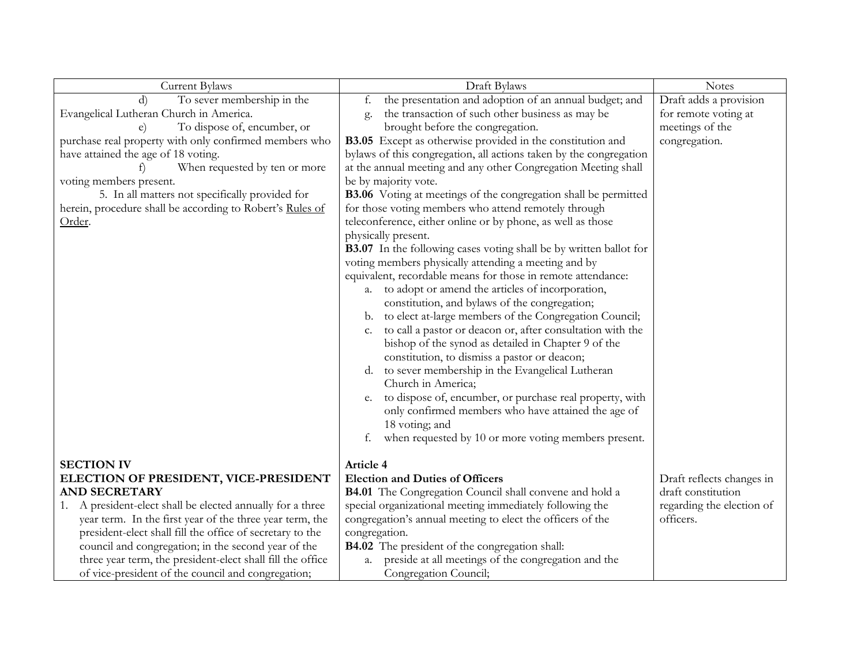| Current Bylaws                                             | Draft Bylaws                                                           | <b>Notes</b>              |
|------------------------------------------------------------|------------------------------------------------------------------------|---------------------------|
| To sever membership in the<br>$\rm d$                      | the presentation and adoption of an annual budget; and<br>f.           | Draft adds a provision    |
| Evangelical Lutheran Church in America.                    | the transaction of such other business as may be<br>g.                 | for remote voting at      |
| To dispose of, encumber, or                                | brought before the congregation.                                       | meetings of the           |
| purchase real property with only confirmed members who     | B3.05 Except as otherwise provided in the constitution and             | congregation.             |
| have attained the age of 18 voting.                        | bylaws of this congregation, all actions taken by the congregation     |                           |
| When requested by ten or more<br>t)                        | at the annual meeting and any other Congregation Meeting shall         |                           |
| voting members present.                                    | be by majority vote.                                                   |                           |
| 5. In all matters not specifically provided for            | <b>B3.06</b> Voting at meetings of the congregation shall be permitted |                           |
| herein, procedure shall be according to Robert's Rules of  | for those voting members who attend remotely through                   |                           |
| Order.                                                     | teleconference, either online or by phone, as well as those            |                           |
|                                                            | physically present.                                                    |                           |
|                                                            | B3.07 In the following cases voting shall be by written ballot for     |                           |
|                                                            | voting members physically attending a meeting and by                   |                           |
|                                                            | equivalent, recordable means for those in remote attendance:           |                           |
|                                                            | to adopt or amend the articles of incorporation,<br>a.                 |                           |
|                                                            | constitution, and bylaws of the congregation;                          |                           |
|                                                            | to elect at-large members of the Congregation Council;                 |                           |
|                                                            | b.<br>to call a pastor or deacon or, after consultation with the       |                           |
|                                                            | c.                                                                     |                           |
|                                                            | bishop of the synod as detailed in Chapter 9 of the                    |                           |
|                                                            | constitution, to dismiss a pastor or deacon;                           |                           |
|                                                            | to sever membership in the Evangelical Lutheran<br>d.                  |                           |
|                                                            | Church in America;                                                     |                           |
|                                                            | to dispose of, encumber, or purchase real property, with<br>e.         |                           |
|                                                            | only confirmed members who have attained the age of                    |                           |
|                                                            | 18 voting; and                                                         |                           |
|                                                            | when requested by 10 or more voting members present.<br>f.             |                           |
|                                                            |                                                                        |                           |
| <b>SECTION IV</b>                                          | Article 4                                                              |                           |
| ELECTION OF PRESIDENT, VICE-PRESIDENT                      | <b>Election and Duties of Officers</b>                                 | Draft reflects changes in |
| <b>AND SECRETARY</b>                                       | <b>B4.01</b> The Congregation Council shall convene and hold a         | draft constitution        |
| 1. A president-elect shall be elected annually for a three | special organizational meeting immediately following the               | regarding the election of |
| year term. In the first year of the three year term, the   | congregation's annual meeting to elect the officers of the             | officers.                 |
| president-elect shall fill the office of secretary to the  | congregation.                                                          |                           |
| council and congregation; in the second year of the        | <b>B4.02</b> The president of the congregation shall:                  |                           |
| three year term, the president-elect shall fill the office | preside at all meetings of the congregation and the<br>a.              |                           |
| of vice-president of the council and congregation;         | Congregation Council;                                                  |                           |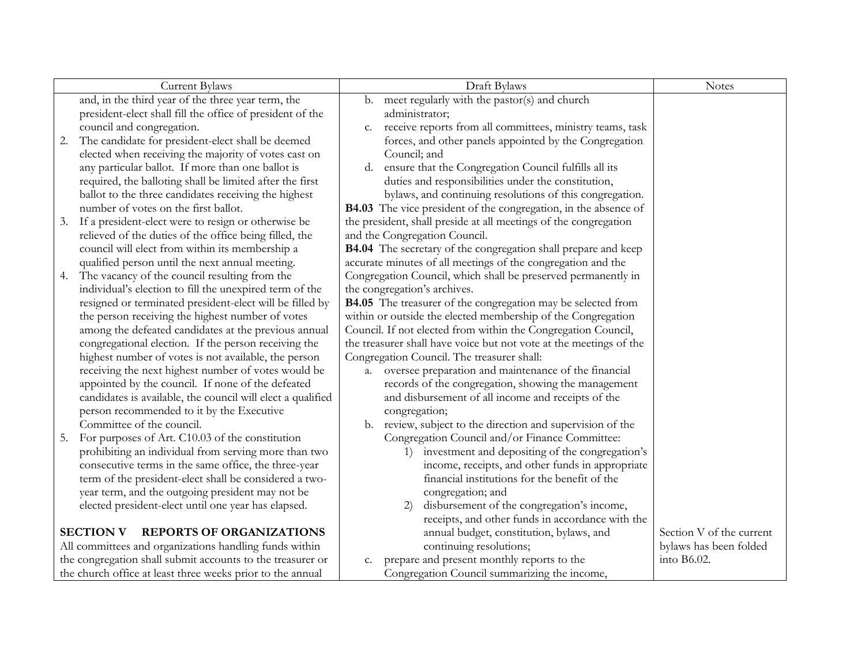|    | <b>Current Bylaws</b>                                       |    | Draft Bylaws                                                           | <b>Notes</b>             |
|----|-------------------------------------------------------------|----|------------------------------------------------------------------------|--------------------------|
|    | and, in the third year of the three year term, the          | b. | meet regularly with the pastor(s) and church                           |                          |
|    | president-elect shall fill the office of president of the   |    | administrator;                                                         |                          |
|    | council and congregation.                                   | c. | receive reports from all committees, ministry teams, task              |                          |
| 2. | The candidate for president-elect shall be deemed           |    | forces, and other panels appointed by the Congregation                 |                          |
|    | elected when receiving the majority of votes cast on        |    | Council; and                                                           |                          |
|    | any particular ballot. If more than one ballot is           | d. | ensure that the Congregation Council fulfills all its                  |                          |
|    | required, the balloting shall be limited after the first    |    | duties and responsibilities under the constitution,                    |                          |
|    | ballot to the three candidates receiving the highest        |    | bylaws, and continuing resolutions of this congregation.               |                          |
|    | number of votes on the first ballot.                        |    | <b>B4.03</b> The vice president of the congregation, in the absence of |                          |
| 3. | If a president-elect were to resign or otherwise be         |    | the president, shall preside at all meetings of the congregation       |                          |
|    | relieved of the duties of the office being filled, the      |    | and the Congregation Council.                                          |                          |
|    | council will elect from within its membership a             |    | B4.04 The secretary of the congregation shall prepare and keep         |                          |
|    | qualified person until the next annual meeting.             |    | accurate minutes of all meetings of the congregation and the           |                          |
| 4. | The vacancy of the council resulting from the               |    | Congregation Council, which shall be preserved permanently in          |                          |
|    | individual's election to fill the unexpired term of the     |    | the congregation's archives.                                           |                          |
|    | resigned or terminated president-elect will be filled by    |    | B4.05 The treasurer of the congregation may be selected from           |                          |
|    | the person receiving the highest number of votes            |    | within or outside the elected membership of the Congregation           |                          |
|    | among the defeated candidates at the previous annual        |    | Council. If not elected from within the Congregation Council,          |                          |
|    | congregational election. If the person receiving the        |    | the treasurer shall have voice but not vote at the meetings of the     |                          |
|    | highest number of votes is not available, the person        |    | Congregation Council. The treasurer shall:                             |                          |
|    | receiving the next highest number of votes would be         | a. | oversee preparation and maintenance of the financial                   |                          |
|    | appointed by the council. If none of the defeated           |    | records of the congregation, showing the management                    |                          |
|    | candidates is available, the council will elect a qualified |    | and disbursement of all income and receipts of the                     |                          |
|    | person recommended to it by the Executive                   |    | congregation;                                                          |                          |
|    | Committee of the council.                                   |    | b. review, subject to the direction and supervision of the             |                          |
| 5. | For purposes of Art. C10.03 of the constitution             |    | Congregation Council and/or Finance Committee:                         |                          |
|    | prohibiting an individual from serving more than two        |    | investment and depositing of the congregation's                        |                          |
|    | consecutive terms in the same office, the three-year        |    | income, receipts, and other funds in appropriate                       |                          |
|    | term of the president-elect shall be considered a two-      |    | financial institutions for the benefit of the                          |                          |
|    | year term, and the outgoing president may not be            |    | congregation; and                                                      |                          |
|    | elected president-elect until one year has elapsed.         |    | disbursement of the congregation's income,<br>2)                       |                          |
|    |                                                             |    | receipts, and other funds in accordance with the                       |                          |
|    | <b>REPORTS OF ORGANIZATIONS</b><br><b>SECTION V</b>         |    | annual budget, constitution, bylaws, and                               | Section V of the current |
|    | All committees and organizations handling funds within      |    | continuing resolutions;                                                | bylaws has been folded   |
|    | the congregation shall submit accounts to the treasurer or  | c. | prepare and present monthly reports to the                             | into B6.02.              |
|    | the church office at least three weeks prior to the annual  |    | Congregation Council summarizing the income,                           |                          |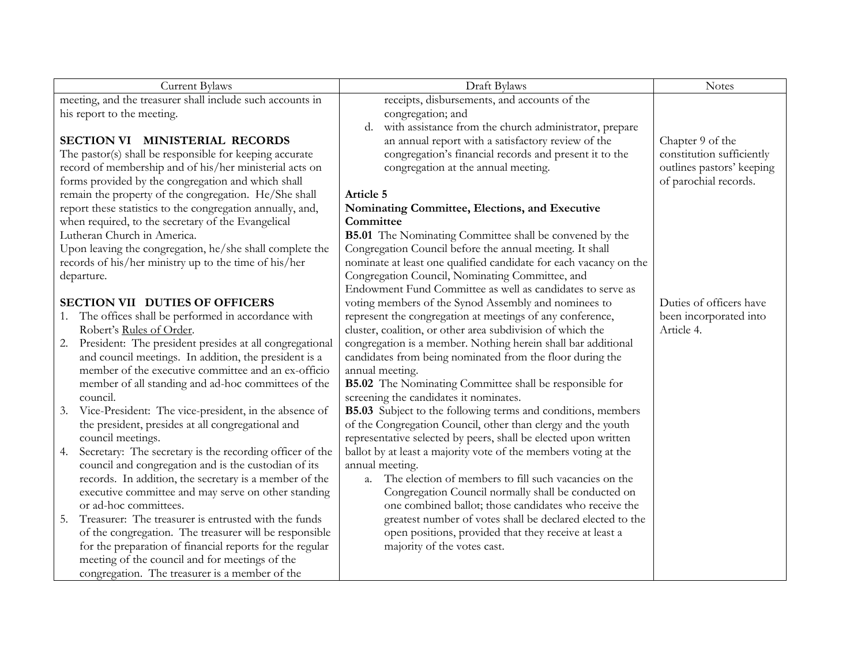| Current Bylaws                                                 | Draft Bylaws                                                        | <b>Notes</b>              |
|----------------------------------------------------------------|---------------------------------------------------------------------|---------------------------|
| meeting, and the treasurer shall include such accounts in      | receipts, disbursements, and accounts of the                        |                           |
| his report to the meeting.                                     | congregation; and                                                   |                           |
|                                                                | with assistance from the church administrator, prepare<br>d.        |                           |
| SECTION VI MINISTERIAL RECORDS                                 | an annual report with a satisfactory review of the                  | Chapter 9 of the          |
| The pastor(s) shall be responsible for keeping accurate        | congregation's financial records and present it to the              | constitution sufficiently |
| record of membership and of his/her ministerial acts on        | congregation at the annual meeting.                                 | outlines pastors' keeping |
| forms provided by the congregation and which shall             |                                                                     | of parochial records.     |
| remain the property of the congregation. He/She shall          | Article 5                                                           |                           |
| report these statistics to the congregation annually, and,     | Nominating Committee, Elections, and Executive                      |                           |
| when required, to the secretary of the Evangelical             | Committee                                                           |                           |
| Lutheran Church in America.                                    | <b>B5.01</b> The Nominating Committee shall be convened by the      |                           |
| Upon leaving the congregation, he/she shall complete the       | Congregation Council before the annual meeting. It shall            |                           |
| records of his/her ministry up to the time of his/her          | nominate at least one qualified candidate for each vacancy on the   |                           |
| departure.                                                     | Congregation Council, Nominating Committee, and                     |                           |
|                                                                | Endowment Fund Committee as well as candidates to serve as          |                           |
| <b>SECTION VII DUTIES OF OFFICERS</b>                          | voting members of the Synod Assembly and nominees to                | Duties of officers have   |
| The offices shall be performed in accordance with<br>1.        | represent the congregation at meetings of any conference,           | been incorporated into    |
| Robert's Rules of Order.                                       | cluster, coalition, or other area subdivision of which the          | Article 4.                |
| President: The president presides at all congregational<br>2.  | congregation is a member. Nothing herein shall bar additional       |                           |
| and council meetings. In addition, the president is a          | candidates from being nominated from the floor during the           |                           |
| member of the executive committee and an ex-officio            | annual meeting.                                                     |                           |
| member of all standing and ad-hoc committees of the            | <b>B5.02</b> The Nominating Committee shall be responsible for      |                           |
| council.                                                       | screening the candidates it nominates.                              |                           |
| Vice-President: The vice-president, in the absence of<br>3.    | <b>B5.03</b> Subject to the following terms and conditions, members |                           |
| the president, presides at all congregational and              | of the Congregation Council, other than clergy and the youth        |                           |
| council meetings.                                              | representative selected by peers, shall be elected upon written     |                           |
| Secretary: The secretary is the recording officer of the<br>4. | ballot by at least a majority vote of the members voting at the     |                           |
| council and congregation and is the custodian of its           | annual meeting.                                                     |                           |
| records. In addition, the secretary is a member of the         | a. The election of members to fill such vacancies on the            |                           |
| executive committee and may serve on other standing            | Congregation Council normally shall be conducted on                 |                           |
| or ad-hoc committees.                                          | one combined ballot; those candidates who receive the               |                           |
| Treasurer: The treasurer is entrusted with the funds<br>5.     | greatest number of votes shall be declared elected to the           |                           |
| of the congregation. The treasurer will be responsible         | open positions, provided that they receive at least a               |                           |
| for the preparation of financial reports for the regular       | majority of the votes cast.                                         |                           |
| meeting of the council and for meetings of the                 |                                                                     |                           |
| congregation. The treasurer is a member of the                 |                                                                     |                           |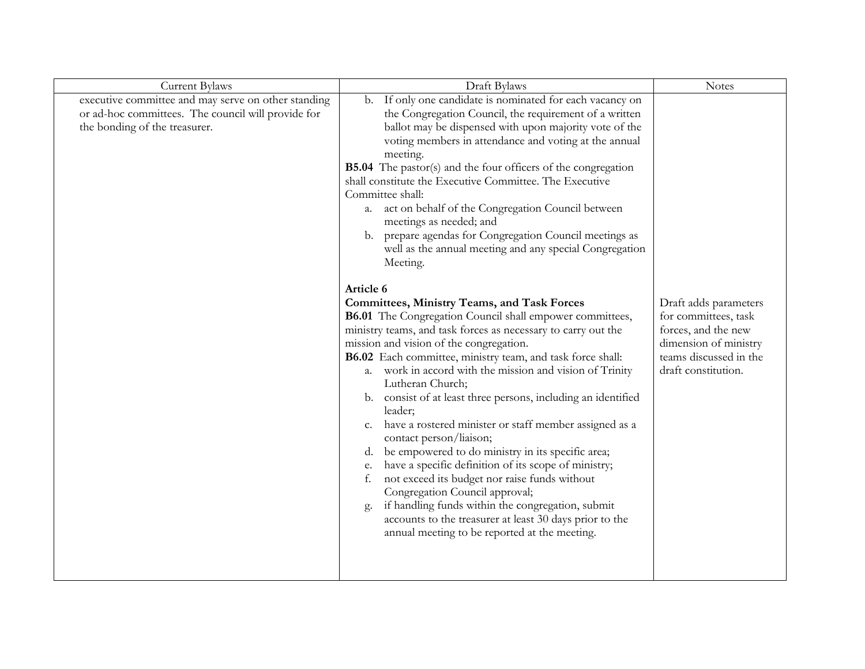| Current Bylaws                                                                                                                             | Draft Bylaws                                                                                                                                                                                                                                                                                                                                                                                                                                                                                                                                                                                                                                                                                                                                                                                                                                                                                                                                                | <b>Notes</b>                                                                                                                                   |
|--------------------------------------------------------------------------------------------------------------------------------------------|-------------------------------------------------------------------------------------------------------------------------------------------------------------------------------------------------------------------------------------------------------------------------------------------------------------------------------------------------------------------------------------------------------------------------------------------------------------------------------------------------------------------------------------------------------------------------------------------------------------------------------------------------------------------------------------------------------------------------------------------------------------------------------------------------------------------------------------------------------------------------------------------------------------------------------------------------------------|------------------------------------------------------------------------------------------------------------------------------------------------|
| executive committee and may serve on other standing<br>or ad-hoc committees. The council will provide for<br>the bonding of the treasurer. | If only one candidate is nominated for each vacancy on<br>b.<br>the Congregation Council, the requirement of a written<br>ballot may be dispensed with upon majority vote of the<br>voting members in attendance and voting at the annual<br>meeting.<br><b>B5.04</b> The pastor(s) and the four officers of the congregation<br>shall constitute the Executive Committee. The Executive<br>Committee shall:<br>act on behalf of the Congregation Council between<br>a.<br>meetings as needed; and<br>prepare agendas for Congregation Council meetings as<br>b.<br>well as the annual meeting and any special Congregation<br>Meeting.                                                                                                                                                                                                                                                                                                                     |                                                                                                                                                |
|                                                                                                                                            | Article 6<br><b>Committees, Ministry Teams, and Task Forces</b><br>B6.01 The Congregation Council shall empower committees,<br>ministry teams, and task forces as necessary to carry out the<br>mission and vision of the congregation.<br>B6.02 Each committee, ministry team, and task force shall:<br>work in accord with the mission and vision of Trinity<br>a.<br>Lutheran Church;<br>consist of at least three persons, including an identified<br>b.<br>leader;<br>have a rostered minister or staff member assigned as a<br>c.<br>contact person/liaison;<br>be empowered to do ministry in its specific area;<br>d.<br>have a specific definition of its scope of ministry;<br>е.<br>not exceed its budget nor raise funds without<br>f.<br>Congregation Council approval;<br>if handling funds within the congregation, submit<br>g.<br>accounts to the treasurer at least 30 days prior to the<br>annual meeting to be reported at the meeting. | Draft adds parameters<br>for committees, task<br>forces, and the new<br>dimension of ministry<br>teams discussed in the<br>draft constitution. |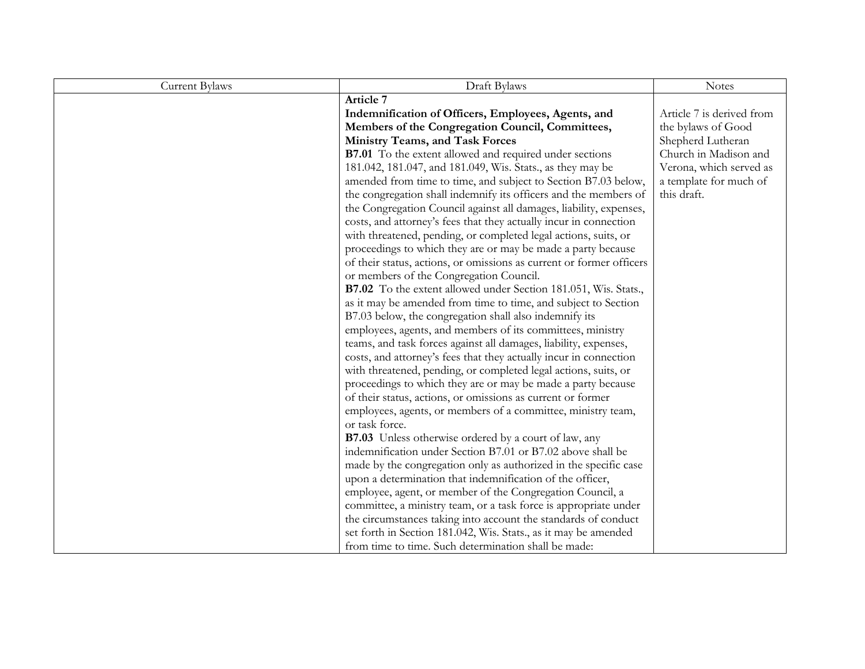| <b>Current Bylaws</b> | Draft Bylaws                                                         | <b>Notes</b>              |
|-----------------------|----------------------------------------------------------------------|---------------------------|
|                       | Article 7                                                            |                           |
|                       | Indemnification of Officers, Employees, Agents, and                  | Article 7 is derived from |
|                       | Members of the Congregation Council, Committees,                     | the bylaws of Good        |
|                       | Ministry Teams, and Task Forces                                      | Shepherd Lutheran         |
|                       | <b>B7.01</b> To the extent allowed and required under sections       | Church in Madison and     |
|                       | 181.042, 181.047, and 181.049, Wis. Stats., as they may be           | Verona, which served as   |
|                       | amended from time to time, and subject to Section B7.03 below,       | a template for much of    |
|                       | the congregation shall indemnify its officers and the members of     | this draft.               |
|                       | the Congregation Council against all damages, liability, expenses,   |                           |
|                       | costs, and attorney's fees that they actually incur in connection    |                           |
|                       | with threatened, pending, or completed legal actions, suits, or      |                           |
|                       | proceedings to which they are or may be made a party because         |                           |
|                       | of their status, actions, or omissions as current or former officers |                           |
|                       | or members of the Congregation Council.                              |                           |
|                       | B7.02 To the extent allowed under Section 181.051, Wis. Stats.,      |                           |
|                       | as it may be amended from time to time, and subject to Section       |                           |
|                       | B7.03 below, the congregation shall also indemnify its               |                           |
|                       | employees, agents, and members of its committees, ministry           |                           |
|                       | teams, and task forces against all damages, liability, expenses,     |                           |
|                       | costs, and attorney's fees that they actually incur in connection    |                           |
|                       | with threatened, pending, or completed legal actions, suits, or      |                           |
|                       | proceedings to which they are or may be made a party because         |                           |
|                       | of their status, actions, or omissions as current or former          |                           |
|                       | employees, agents, or members of a committee, ministry team,         |                           |
|                       | or task force.                                                       |                           |
|                       | <b>B7.03</b> Unless otherwise ordered by a court of law, any         |                           |
|                       | indemnification under Section B7.01 or B7.02 above shall be          |                           |
|                       | made by the congregation only as authorized in the specific case     |                           |
|                       | upon a determination that indemnification of the officer,            |                           |
|                       | employee, agent, or member of the Congregation Council, a            |                           |
|                       | committee, a ministry team, or a task force is appropriate under     |                           |
|                       | the circumstances taking into account the standards of conduct       |                           |
|                       | set forth in Section 181.042, Wis. Stats., as it may be amended      |                           |
|                       | from time to time. Such determination shall be made:                 |                           |